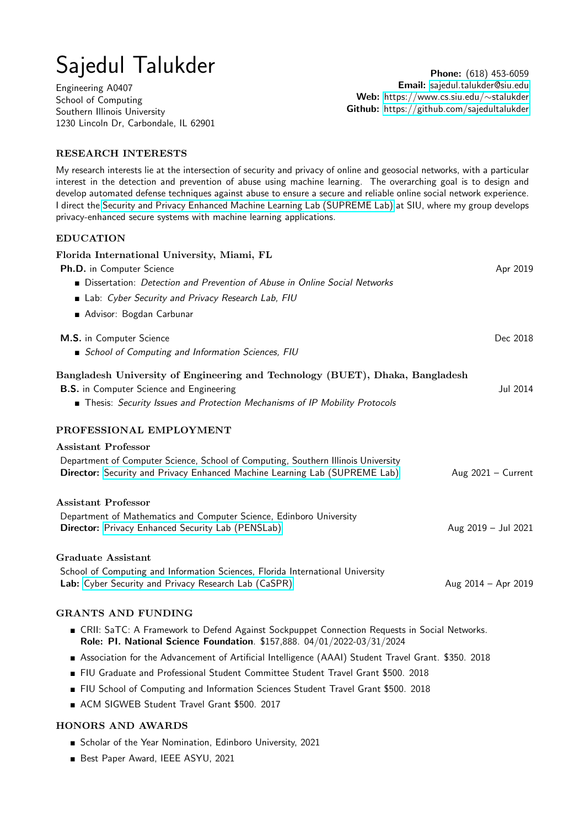# Sajedul Talukder

Engineering A0407 School of Computing Southern Illinois University 1230 Lincoln Dr, Carbondale, IL 62901

Phone: (618) 453-6059 Email: [sajedul.talukder@siu.edu](mailto:sajedul.talukder@siu.edu) Web: [https://www.cs.siu.edu/](https://www.cs.siu.edu/~stalukder/)∼stalukder Github: <https://github.com/sajedultalukder>

# RESEARCH INTERESTS

My research interests lie at the intersection of security and privacy of online and geosocial networks, with a particular interest in the detection and prevention of abuse using machine learning. The overarching goal is to design and develop automated defense techniques against abuse to ensure a secure and reliable online social network experience. I direct the [Security and Privacy Enhanced Machine Learning Lab \(SUPREME Lab\)](https://www2.cs.siu.edu/~stalukder/supremelab/) at SIU, where my group develops privacy-enhanced secure systems with machine learning applications.

# EDUCATION

| Florida International University, Miami, FL                                                                                                                                                                    |                      |
|----------------------------------------------------------------------------------------------------------------------------------------------------------------------------------------------------------------|----------------------|
| Ph.D. in Computer Science                                                                                                                                                                                      | Apr 2019             |
| Dissertation: Detection and Prevention of Abuse in Online Social Networks                                                                                                                                      |                      |
| Lab: Cyber Security and Privacy Research Lab, FIU                                                                                                                                                              |                      |
| Advisor: Bogdan Carbunar                                                                                                                                                                                       |                      |
| M.S. in Computer Science                                                                                                                                                                                       | Dec 2018             |
| School of Computing and Information Sciences, FIU                                                                                                                                                              |                      |
| Bangladesh University of Engineering and Technology (BUET), Dhaka, Bangladesh<br><b>B.S.</b> in Computer Science and Engineering<br>Thesis: Security Issues and Protection Mechanisms of IP Mobility Protocols | Jul 2014             |
|                                                                                                                                                                                                                |                      |
| PROFESSIONAL EMPLOYMENT                                                                                                                                                                                        |                      |
| <b>Assistant Professor</b>                                                                                                                                                                                     |                      |
| Department of Computer Science, School of Computing, Southern Illinois University<br>Director: Security and Privacy Enhanced Machine Learning Lab (SUPREME Lab)                                                | Aug $2021 -$ Current |
| <b>Assistant Professor</b>                                                                                                                                                                                     |                      |
| Department of Mathematics and Computer Science, Edinboro University<br><b>Director:</b> Privacy Enhanced Security Lab (PENSLab)                                                                                | Aug 2019 - Jul 2021  |
| Graduate Assistant                                                                                                                                                                                             |                      |
| School of Computing and Information Sciences, Florida International University<br>Lab: Cyber Security and Privacy Research Lab (CaSPR)                                                                         | Aug 2014 - Apr 2019  |
| <b>GRANTS AND FUNDING</b>                                                                                                                                                                                      |                      |
| ■ CRII: SaTC: A Framework to Defend Against Sockpuppet Connection Requests in Social Networks.<br>Role: PI. National Science Foundation. \$157,888. 04/01/2022-03/31/2024                                      |                      |
| Association for the Advancement of Artificial Intelligence (AAAI) Student Travel Grant. \$350. 2018                                                                                                            |                      |
| FIU Graduate and Professional Student Committee Student Travel Grant \$500. 2018                                                                                                                               |                      |
| FIU School of Computing and Information Sciences Student Travel Grant \$500. 2018                                                                                                                              |                      |
| ACM SIGWEB Student Travel Grant \$500. 2017                                                                                                                                                                    |                      |

# HONORS AND AWARDS

- Scholar of the Year Nomination, Edinboro University, 2021
- Best Paper Award, IEEE ASYU, 2021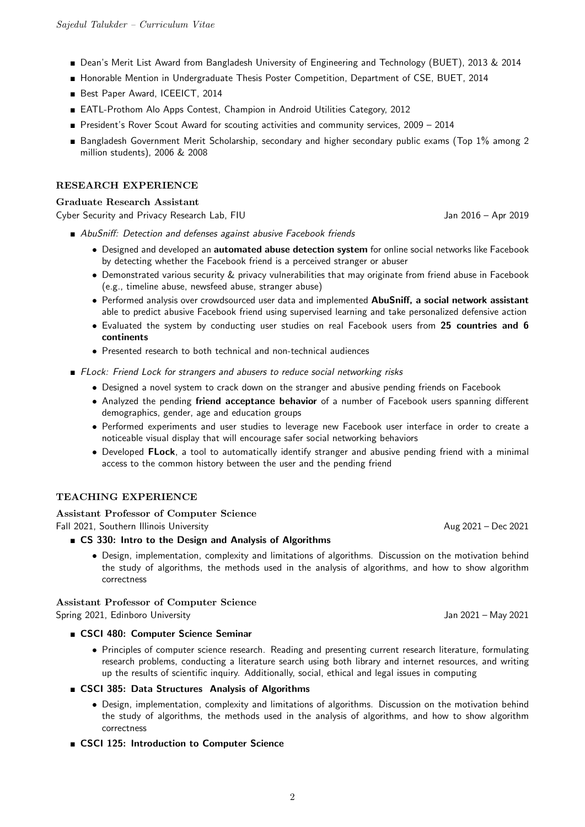- Dean's Merit List Award from Bangladesh University of Engineering and Technology (BUET), 2013 & 2014
- Honorable Mention in Undergraduate Thesis Poster Competition, Department of CSE, BUET, 2014
- Best Paper Award, ICEEICT, 2014
- EATL-Prothom Alo Apps Contest, Champion in Android Utilities Category, 2012
- President's Rover Scout Award for scouting activities and community services, 2009 2014
- Bangladesh Government Merit Scholarship, secondary and higher secondary public exams (Top 1% among 2 million students), 2006 & 2008

# RESEARCH EXPERIENCE

## Graduate Research Assistant

Cyber Security and Privacy Research Lab, FIU Jan 2016 – Apr 2019

- AbuSniff: Detection and defenses against abusive Facebook friends
	- Designed and developed an automated abuse detection system for online social networks like Facebook by detecting whether the Facebook friend is a perceived stranger or abuser
	- Demonstrated various security & privacy vulnerabilities that may originate from friend abuse in Facebook (e.g., timeline abuse, newsfeed abuse, stranger abuse)
	- Performed analysis over crowdsourced user data and implemented AbuSniff, a social network assistant able to predict abusive Facebook friend using supervised learning and take personalized defensive action
	- Evaluated the system by conducting user studies on real Facebook users from 25 countries and 6 continents
	- Presented research to both technical and non-technical audiences
- **FLock: Friend Lock for strangers and abusers to reduce social networking risks** 
	- Designed a novel system to crack down on the stranger and abusive pending friends on Facebook
	- Analyzed the pending friend acceptance behavior of a number of Facebook users spanning different demographics, gender, age and education groups
	- Performed experiments and user studies to leverage new Facebook user interface in order to create a noticeable visual display that will encourage safer social networking behaviors
	- Developed FLock, a tool to automatically identify stranger and abusive pending friend with a minimal access to the common history between the user and the pending friend

# TEACHING EXPERIENCE

# Assistant Professor of Computer Science

Fall 2021, Southern Illinois University Aug 2021 – Dec 2021

# GS 330: Intro to the Design and Analysis of Algorithms

• Design, implementation, complexity and limitations of algorithms. Discussion on the motivation behind the study of algorithms, the methods used in the analysis of algorithms, and how to show algorithm correctness

#### Assistant Professor of Computer Science Spring 2021, Edinboro University Jan 2021 – May 2021

- CSCI 480: Computer Science Seminar
	- Principles of computer science research. Reading and presenting current research literature, formulating research problems, conducting a literature search using both library and internet resources, and writing up the results of scientific inquiry. Additionally, social, ethical and legal issues in computing
- CSCI 385: Data Structures Analysis of Algorithms
	- Design, implementation, complexity and limitations of algorithms. Discussion on the motivation behind the study of algorithms, the methods used in the analysis of algorithms, and how to show algorithm correctness
- CSCI 125: Introduction to Computer Science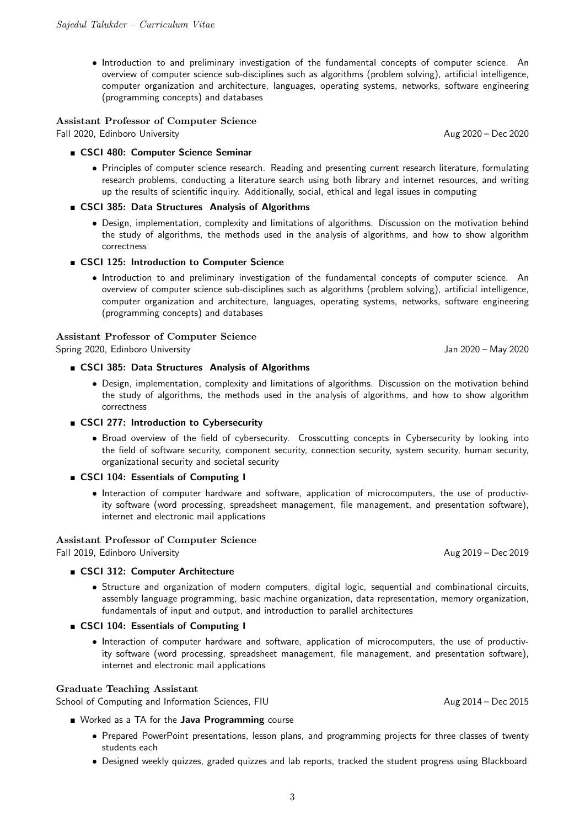• Introduction to and preliminary investigation of the fundamental concepts of computer science. An overview of computer science sub-disciplines such as algorithms (problem solving), artificial intelligence, computer organization and architecture, languages, operating systems, networks, software engineering (programming concepts) and databases

Assistant Professor of Computer Science Fall 2020, Edinboro University Aug 2020 – Dec 2020

#### ■ CSCI 480: Computer Science Seminar

• Principles of computer science research. Reading and presenting current research literature, formulating research problems, conducting a literature search using both library and internet resources, and writing up the results of scientific inquiry. Additionally, social, ethical and legal issues in computing

#### CSCI 385: Data Structures Analysis of Algorithms

• Design, implementation, complexity and limitations of algorithms. Discussion on the motivation behind the study of algorithms, the methods used in the analysis of algorithms, and how to show algorithm correctness

#### ■ CSCI 125: Introduction to Computer Science

• Introduction to and preliminary investigation of the fundamental concepts of computer science. An overview of computer science sub-disciplines such as algorithms (problem solving), artificial intelligence, computer organization and architecture, languages, operating systems, networks, software engineering (programming concepts) and databases

#### Assistant Professor of Computer Science

Spring 2020, Edinboro University Jan 2020 – May 2020

#### ■ CSCI 385: Data Structures Analysis of Algorithms

- Design, implementation, complexity and limitations of algorithms. Discussion on the motivation behind the study of algorithms, the methods used in the analysis of algorithms, and how to show algorithm correctness
- **EXCI 277: Introduction to Cybersecurity** 
	- Broad overview of the field of cybersecurity. Crosscutting concepts in Cybersecurity by looking into the field of software security, component security, connection security, system security, human security, organizational security and societal security
- **EXCI 104: Essentials of Computing I** 
	- Interaction of computer hardware and software, application of microcomputers, the use of productivity software (word processing, spreadsheet management, file management, and presentation software), internet and electronic mail applications

#### Assistant Professor of Computer Science

Fall 2019, Edinboro University Aug 2019 – Dec 2019

#### ■ CSCI 312: Computer Architecture

• Structure and organization of modern computers, digital logic, sequential and combinational circuits, assembly language programming, basic machine organization, data representation, memory organization, fundamentals of input and output, and introduction to parallel architectures

# ■ CSCI 104: Essentials of Computing I

• Interaction of computer hardware and software, application of microcomputers, the use of productivity software (word processing, spreadsheet management, file management, and presentation software), internet and electronic mail applications

#### Graduate Teaching Assistant

School of Computing and Information Sciences, FIU Aug 2014 – Dec 2015

- Worked as a TA for the **Java Programming** course
	- Prepared PowerPoint presentations, lesson plans, and programming projects for three classes of twenty students each
	- Designed weekly quizzes, graded quizzes and lab reports, tracked the student progress using Blackboard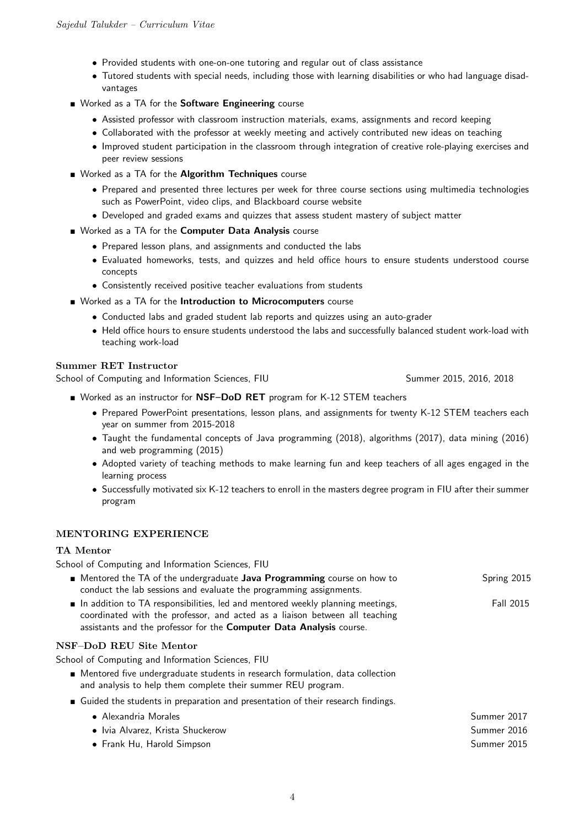- Provided students with one-on-one tutoring and regular out of class assistance
- Tutored students with special needs, including those with learning disabilities or who had language disadvantages
- Worked as a TA for the Software Engineering course
	- Assisted professor with classroom instruction materials, exams, assignments and record keeping
	- Collaborated with the professor at weekly meeting and actively contributed new ideas on teaching
	- Improved student participation in the classroom through integration of creative role-playing exercises and peer review sessions
- Worked as a TA for the Algorithm Techniques course
	- Prepared and presented three lectures per week for three course sections using multimedia technologies such as PowerPoint, video clips, and Blackboard course website
	- Developed and graded exams and quizzes that assess student mastery of subject matter
- Worked as a TA for the Computer Data Analysis course
	- Prepared lesson plans, and assignments and conducted the labs
	- Evaluated homeworks, tests, and quizzes and held office hours to ensure students understood course concepts
	- Consistently received positive teacher evaluations from students
- Worked as a TA for the Introduction to Microcomputers course
	- Conducted labs and graded student lab reports and quizzes using an auto-grader
	- Held office hours to ensure students understood the labs and successfully balanced student work-load with teaching work-load

# Summer RET Instructor

School of Computing and Information Sciences, FIU Summer 2015, 2016, 2018

- Worked as an instructor for NSF-DoD RET program for K-12 STEM teachers
	- Prepared PowerPoint presentations, lesson plans, and assignments for twenty K-12 STEM teachers each year on summer from 2015-2018
	- Taught the fundamental concepts of Java programming (2018), algorithms (2017), data mining (2016) and web programming (2015)
	- Adopted variety of teaching methods to make learning fun and keep teachers of all ages engaged in the learning process
	- Successfully motivated six K-12 teachers to enroll in the masters degree program in FIU after their summer program

## MENTORING EXPERIENCE

# TA Mentor

School of Computing and Information Sciences, FIU

- **Mentored the TA of the undergraduate Java Programming course on how to** conduct the lab sessions and evaluate the programming assignments. Spring 2015  $\blacksquare$  In addition to TA responsibilities, led and mentored weekly planning meetings, coordinated with the professor, and acted as a liaison between all teaching assistants and the professor for the Computer Data Analysis course. Fall 2015 NSF–DoD REU Site Mentor School of Computing and Information Sciences, FIU Mentored five undergraduate students in research formulation, data collection and analysis to help them complete their summer REU program. Guided the students in preparation and presentation of their research findings. • Alexandria Morales Summer 2017 • Ivia Alvarez, Krista Shuckerow Summer 2016
	- Frank Hu, Harold Simpson Summer 2015
		- 4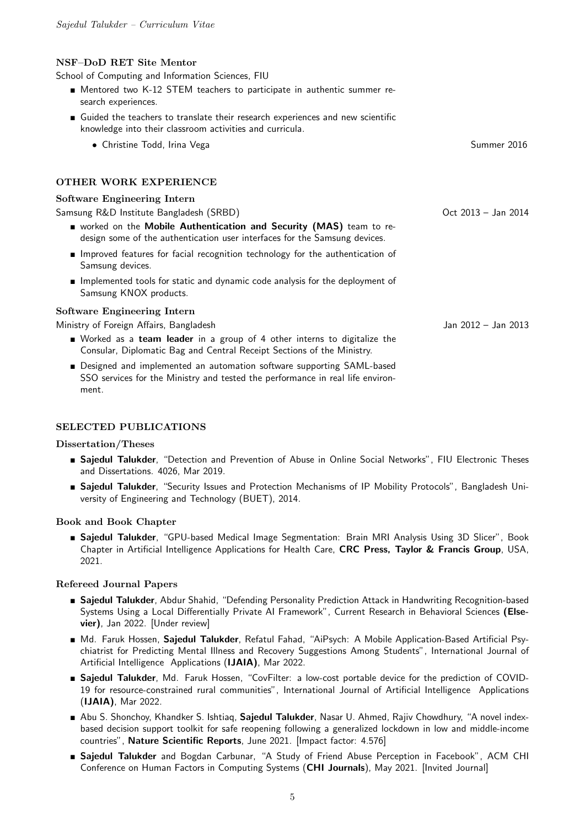## NSF–DoD RET Site Mentor

School of Computing and Information Sciences, FIU

- Mentored two K-12 STEM teachers to participate in authentic summer research experiences.
- Guided the teachers to translate their research experiences and new scientific knowledge into their classroom activities and curricula.
	- Christine Todd, Irina Vega Summer 2016

# OTHER WORK EXPERIENCE

#### Software Engineering Intern

Samsung R&D Institute Bangladesh (SRBD)

- worked on the Mobile Authentication and Security (MAS) team to redesign some of the authentication user interfaces for the Samsung devices.
- Improved features for facial recognition technology for the authentication of Samsung devices.
- **Implemented tools for static and dynamic code analysis for the deployment of** Samsung KNOX products.

#### Software Engineering Intern

Ministry of Foreign Affairs, Bangladesh

- Worked as a team leader in a group of 4 other interns to digitalize the Consular, Diplomatic Bag and Central Receipt Sections of the Ministry.
- Designed and implemented an automation software supporting SAML-based SSO services for the Ministry and tested the performance in real life environment.

#### SELECTED PUBLICATIONS

#### Dissertation/Theses

- **Saiedul Talukder**, "Detection and Prevention of Abuse in Online Social Networks", FIU Electronic Theses and Dissertations. 4026, Mar 2019.
- **Sajedul Talukder**, "Security Issues and Protection Mechanisms of IP Mobility Protocols", Bangladesh University of Engineering and Technology (BUET), 2014.

#### Book and Book Chapter

**Sajedul Talukder**, "GPU-based Medical Image Segmentation: Brain MRI Analysis Using 3D Slicer", Book Chapter in Artificial Intelligence Applications for Health Care, CRC Press, Taylor & Francis Group, USA, 2021.

#### Refereed Journal Papers

- **Saiedul Talukder**, Abdur Shahid, "Defending Personality Prediction Attack in Handwriting Recognition-based Systems Using a Local Differentially Private AI Framework", Current Research in Behavioral Sciences (Elsevier), Jan 2022. [Under review]
- Md. Faruk Hossen, Sajedul Talukder, Refatul Fahad, "AiPsych: A Mobile Application-Based Artificial Psychiatrist for Predicting Mental Illness and Recovery Suggestions Among Students", International Journal of Artificial Intelligence Applications (IJAIA), Mar 2022.
- **Sajedul Talukder**, Md. Faruk Hossen, "CovFilter: a low-cost portable device for the prediction of COVID-19 for resource-constrained rural communities", International Journal of Artificial Intelligence Applications (IJAIA), Mar 2022.
- Abu S. Shonchoy, Khandker S. Ishtiaq, Sajedul Talukder, Nasar U. Ahmed, Rajiv Chowdhury, "A novel indexbased decision support toolkit for safe reopening following a generalized lockdown in low and middle-income countries", Nature Scientific Reports, June 2021. [Impact factor: 4.576]
- Sajedul Talukder and Bogdan Carbunar, "A Study of Friend Abuse Perception in Facebook", ACM CHI Conference on Human Factors in Computing Systems (CHI Journals), May 2021. [Invited Journal]

Jan 2012 – Jan 2013

Oct 2013 – Jan 2014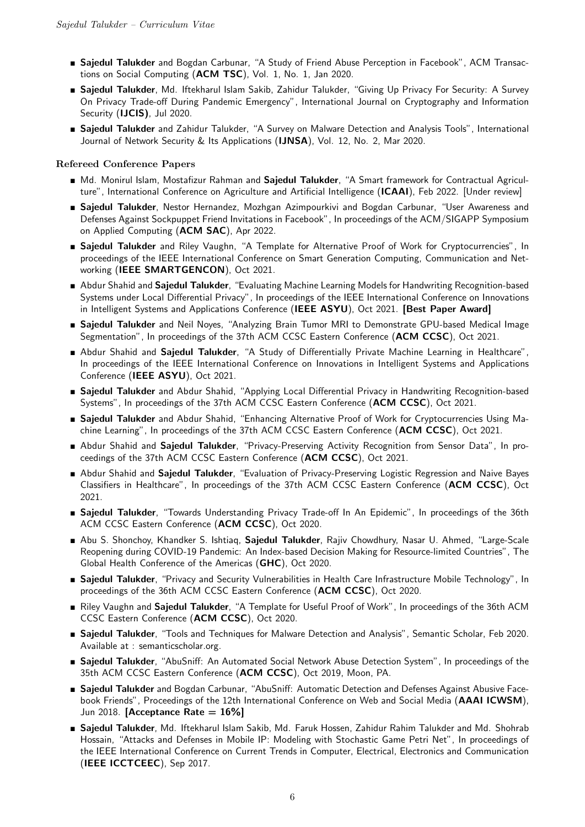- **Sajedul Talukder** and Bogdan Carbunar, "A Study of Friend Abuse Perception in Facebook", ACM Transactions on Social Computing (ACM TSC), Vol. 1, No. 1, Jan 2020.
- **Sajedul Talukder**, Md. Iftekharul Islam Sakib, Zahidur Talukder, "Giving Up Privacy For Security: A Survey On Privacy Trade-off During Pandemic Emergency", International Journal on Cryptography and Information Security (IJCIS), Jul 2020.
- **Sajedul Talukder** and Zahidur Talukder, "A Survey on Malware Detection and Analysis Tools", International Journal of Network Security & Its Applications (IJNSA), Vol. 12, No. 2, Mar 2020.

# Refereed Conference Papers

- Md. Monirul Islam, Mostafizur Rahman and Sajedul Talukder, "A Smart framework for Contractual Agriculture", International Conference on Agriculture and Artificial Intelligence (ICAAI), Feb 2022. [Under review]
- **Sajedul Talukder**, Nestor Hernandez, Mozhgan Azimpourkivi and Bogdan Carbunar, "User Awareness and Defenses Against Sockpuppet Friend Invitations in Facebook", In proceedings of the ACM/SIGAPP Symposium on Applied Computing (ACM SAC), Apr 2022.
- **E** Sajedul Talukder and Riley Vaughn, "A Template for Alternative Proof of Work for Cryptocurrencies", In proceedings of the IEEE International Conference on Smart Generation Computing, Communication and Networking (IEEE SMARTGENCON), Oct 2021.
- Abdur Shahid and Sajedul Talukder, "Evaluating Machine Learning Models for Handwriting Recognition-based Systems under Local Differential Privacy", In proceedings of the IEEE International Conference on Innovations in Intelligent Systems and Applications Conference (IEEE ASYU), Oct 2021. [Best Paper Award]
- **Sajedul Talukder** and Neil Noyes, "Analyzing Brain Tumor MRI to Demonstrate GPU-based Medical Image Segmentation", In proceedings of the 37th ACM CCSC Eastern Conference (ACM CCSC), Oct 2021.
- Abdur Shahid and Sajedul Talukder, "A Study of Differentially Private Machine Learning in Healthcare", In proceedings of the IEEE International Conference on Innovations in Intelligent Systems and Applications Conference (IEEE ASYU), Oct 2021.
- **Sajedul Talukder** and Abdur Shahid, "Applying Local Differential Privacy in Handwriting Recognition-based Systems", In proceedings of the 37th ACM CCSC Eastern Conference (ACM CCSC), Oct 2021.
- **Sajedul Talukder** and Abdur Shahid, "Enhancing Alternative Proof of Work for Cryptocurrencies Using Machine Learning", In proceedings of the 37th ACM CCSC Eastern Conference (ACM CCSC), Oct 2021.
- Abdur Shahid and Sajedul Talukder, "Privacy-Preserving Activity Recognition from Sensor Data", In proceedings of the 37th ACM CCSC Eastern Conference (ACM CCSC), Oct 2021.
- Abdur Shahid and Sajedul Talukder, "Evaluation of Privacy-Preserving Logistic Regression and Naive Bayes Classifiers in Healthcare", In proceedings of the 37th ACM CCSC Eastern Conference (ACM CCSC), Oct 2021.
- **Sajedul Talukder**, "Towards Understanding Privacy Trade-off In An Epidemic", In proceedings of the 36th ACM CCSC Eastern Conference (ACM CCSC), Oct 2020.
- Abu S. Shonchoy, Khandker S. Ishtiaq, Sajedul Talukder, Rajiv Chowdhury, Nasar U. Ahmed, "Large-Scale Reopening during COVID-19 Pandemic: An Index-based Decision Making for Resource-limited Countries", The Global Health Conference of the Americas (GHC), Oct 2020.
- **Sajedul Talukder**, "Privacy and Security Vulnerabilities in Health Care Infrastructure Mobile Technology", In proceedings of the 36th ACM CCSC Eastern Conference (ACM CCSC), Oct 2020.
- Riley Vaughn and Sajedul Talukder, "A Template for Useful Proof of Work", In proceedings of the 36th ACM CCSC Eastern Conference (ACM CCSC), Oct 2020.
- **Sajedul Talukder**, "Tools and Techniques for Malware Detection and Analysis", Semantic Scholar, Feb 2020. Available at : semanticscholar.org.
- **Sajedul Talukder**, "AbuSniff: An Automated Social Network Abuse Detection System", In proceedings of the 35th ACM CCSC Eastern Conference (ACM CCSC), Oct 2019, Moon, PA.
- Sajedul Talukder and Bogdan Carbunar, "AbuSniff: Automatic Detection and Defenses Against Abusive Facebook Friends", Proceedings of the 12th International Conference on Web and Social Media (AAAI ICWSM), Jun 2018. [Acceptance Rate  $= 16\%$ ]
- Sajedul Talukder, Md. Iftekharul Islam Sakib, Md. Faruk Hossen, Zahidur Rahim Talukder and Md. Shohrab Hossain, "Attacks and Defenses in Mobile IP: Modeling with Stochastic Game Petri Net", In proceedings of the IEEE International Conference on Current Trends in Computer, Electrical, Electronics and Communication (IEEE ICCTCEEC), Sep 2017.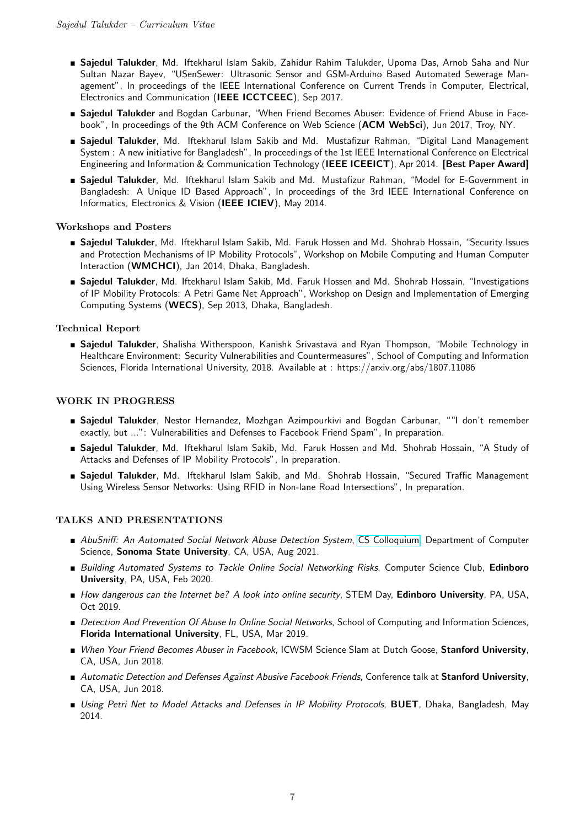- **Sajedul Talukder**, Md. Iftekharul Islam Sakib, Zahidur Rahim Talukder, Upoma Das, Arnob Saha and Nur Sultan Nazar Bayev, "USenSewer: Ultrasonic Sensor and GSM-Arduino Based Automated Sewerage Management", In proceedings of the IEEE International Conference on Current Trends in Computer, Electrical, Electronics and Communication (IEEE ICCTCEEC), Sep 2017.
- **Sajedul Talukder** and Bogdan Carbunar, "When Friend Becomes Abuser: Evidence of Friend Abuse in Facebook", In proceedings of the 9th ACM Conference on Web Science (ACM WebSci), Jun 2017, Troy, NY.
- **Sajedul Talukder**, Md. Iftekharul Islam Sakib and Md. Mustafizur Rahman, "Digital Land Management System : A new initiative for Bangladesh", In proceedings of the 1st IEEE International Conference on Electrical Engineering and Information & Communication Technology (IEEE ICEEICT), Apr 2014. [Best Paper Award]
- Sajedul Talukder, Md. Iftekharul Islam Sakib and Md. Mustafizur Rahman, "Model for E-Government in Bangladesh: A Unique ID Based Approach", In proceedings of the 3rd IEEE International Conference on Informatics, Electronics & Vision (IEEE ICIEV), May 2014.

# Workshops and Posters

- **Sajedul Talukder**, Md. Iftekharul Islam Sakib, Md. Faruk Hossen and Md. Shohrab Hossain, "Security Issues and Protection Mechanisms of IP Mobility Protocols", Workshop on Mobile Computing and Human Computer Interaction (WMCHCI), Jan 2014, Dhaka, Bangladesh.
- **Sajedul Talukder**, Md. Iftekharul Islam Sakib, Md. Faruk Hossen and Md. Shohrab Hossain, "Investigations of IP Mobility Protocols: A Petri Game Net Approach", Workshop on Design and Implementation of Emerging Computing Systems (WECS), Sep 2013, Dhaka, Bangladesh.

# Technical Report

**Sajedul Talukder**, Shalisha Witherspoon, Kanishk Srivastava and Ryan Thompson, "Mobile Technology in Healthcare Environment: Security Vulnerabilities and Countermeasures", School of Computing and Information Sciences, Florida International University, 2018. Available at : https://arxiv.org/abs/1807.11086

# WORK IN PROGRESS

- Sajedul Talukder, Nestor Hernandez, Mozhgan Azimpourkivi and Bogdan Carbunar, ""I don't remember exactly, but ...": Vulnerabilities and Defenses to Facebook Friend Spam", In preparation.
- **Sajedul Talukder**, Md. Iftekharul Islam Sakib, Md. Faruk Hossen and Md. Shohrab Hossain, "A Study of Attacks and Defenses of IP Mobility Protocols", In preparation.
- **Sajedul Talukder**, Md. Iftekharul Islam Sakib, and Md. Shohrab Hossain, "Secured Traffic Management Using Wireless Sensor Networks: Using RFID in Non-lane Road Intersections", In preparation.

#### TALKS AND PRESENTATIONS

- AbuSniff: An Automated Social Network Abuse Detection System, [CS Colloquium,](https://cs.sonoma.edu/colloquium/archive?field_semester_year_tid=101) Department of Computer Science, Sonoma State University, CA, USA, Aug 2021.
- Building Automated Systems to Tackle Online Social Networking Risks, Computer Science Club, Edinboro University, PA, USA, Feb 2020.
- How dangerous can the Internet be? A look into online security, STEM Day, Edinboro University, PA, USA, Oct 2019.
- Detection And Prevention Of Abuse In Online Social Networks, School of Computing and Information Sciences, Florida International University, FL, USA, Mar 2019.
- When Your Friend Becomes Abuser in Facebook, ICWSM Science Slam at Dutch Goose, Stanford University, CA, USA, Jun 2018.
- Automatic Detection and Defenses Against Abusive Facebook Friends, Conference talk at Stanford University, CA, USA, Jun 2018.
- **Using Petri Net to Model Attacks and Defenses in IP Mobility Protocols, BUET**, Dhaka, Bangladesh, May 2014.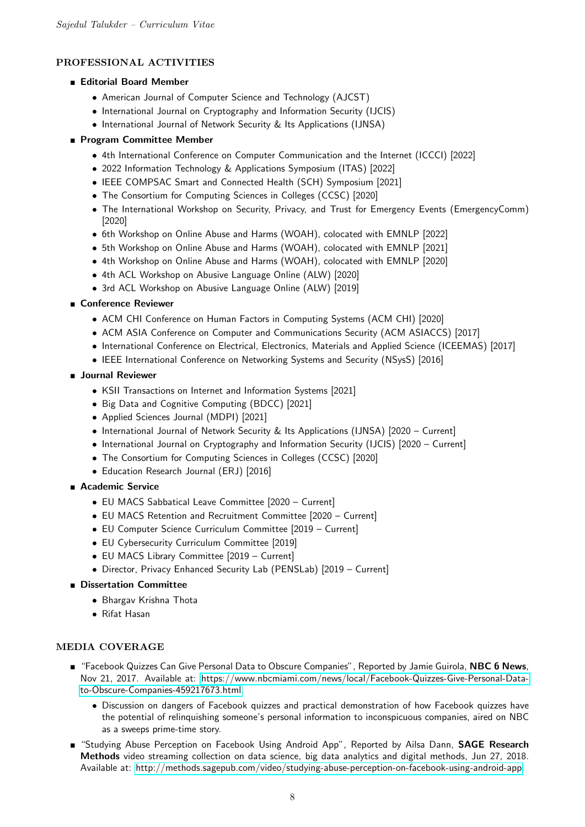# PROFESSIONAL ACTIVITIES

# **Editorial Board Member**

- American Journal of Computer Science and Technology (AJCST)
- International Journal on Cryptography and Information Security (IJCIS)
- International Journal of Network Security & Its Applications (IJNSA)

# **Program Committee Member**

- 4th International Conference on Computer Communication and the Internet (ICCCI) [2022]
- 2022 Information Technology & Applications Symposium (ITAS) [2022]
- IEEE COMPSAC Smart and Connected Health (SCH) Symposium [2021]
- The Consortium for Computing Sciences in Colleges (CCSC) [2020]
- The International Workshop on Security, Privacy, and Trust for Emergency Events (EmergencyComm) [2020]
- 6th Workshop on Online Abuse and Harms (WOAH), colocated with EMNLP [2022]
- 5th Workshop on Online Abuse and Harms (WOAH), colocated with EMNLP [2021]
- 4th Workshop on Online Abuse and Harms (WOAH), colocated with EMNLP [2020]
- 4th ACL Workshop on Abusive Language Online (ALW) [2020]
- 3rd ACL Workshop on Abusive Language Online (ALW) [2019]

# ■ Conference Reviewer

- ACM CHI Conference on Human Factors in Computing Systems (ACM CHI) [2020]
- ACM ASIA Conference on Computer and Communications Security (ACM ASIACCS) [2017]
- International Conference on Electrical, Electronics, Materials and Applied Science (ICEEMAS) [2017]
- IEEE International Conference on Networking Systems and Security (NSysS) [2016]
- **Journal Reviewer** 
	- KSII Transactions on Internet and Information Systems [2021]
	- Big Data and Cognitive Computing (BDCC) [2021]
	- Applied Sciences Journal (MDPI) [2021]
	- International Journal of Network Security & Its Applications (IJNSA) [2020 Current]
	- International Journal on Cryptography and Information Security (IJCIS) [2020 Current]
	- The Consortium for Computing Sciences in Colleges (CCSC) [2020]
	- Education Research Journal (ERJ) [2016]

# ■ Academic Service

- EU MACS Sabbatical Leave Committee [2020 Current]
- EU MACS Retention and Recruitment Committee [2020 Current]
- EU Computer Science Curriculum Committee [2019 Current]
- EU Cybersecurity Curriculum Committee [2019]
- EU MACS Library Committee [2019 Current]
- Director, Privacy Enhanced Security Lab (PENSLab) [2019 Current]

# **Dissertation Committee**

- Bhargav Krishna Thota
- Rifat Hasan

# MEDIA COVERAGE

- "Facebook Quizzes Can Give Personal Data to Obscure Companies", Reported by Jamie Guirola, NBC 6 News, Nov 21, 2017. Available at: [https://www.nbcmiami.com/news/local/Facebook-Quizzes-Give-Personal-Data](https://www.nbcmiami.com/news/local/Facebook-Quizzes-Give-Personal-Data-to-Obscure-Companies-459217673.html)[to-Obscure-Companies-459217673.html.](https://www.nbcmiami.com/news/local/Facebook-Quizzes-Give-Personal-Data-to-Obscure-Companies-459217673.html)
	- Discussion on dangers of Facebook quizzes and practical demonstration of how Facebook quizzes have the potential of relinquishing someone's personal information to inconspicuous companies, aired on NBC as a sweeps prime-time story.
- **E** "Studying Abuse Perception on Facebook Using Android App", Reported by Ailsa Dann, SAGE Research Methods video streaming collection on data science, big data analytics and digital methods, Jun 27, 2018. Available at: [http://methods.sagepub.com/video/studying-abuse-perception-on-facebook-using-android-app.](http://methods.sagepub.com/video/studying-abuse-perception-on-facebook-using-android-app)